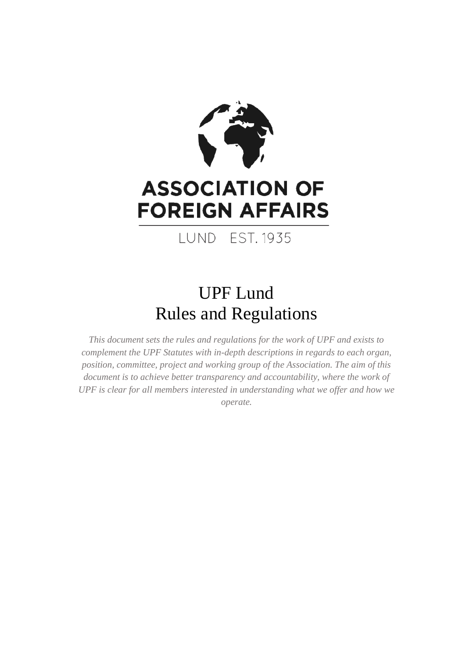

# **ASSOCIATION OF FOREIGN AFFAIRS**

LUND EST. 1935

## UPF Lund Rules and Regulations

*This document sets the rules and regulations for the work of UPF and exists to complement the UPF Statutes with in-depth descriptions in regards to each organ, position, committee, project and working group of the Association. The aim of this document is to achieve better transparency and accountability, where the work of UPF is clear for all members interested in understanding what we offer and how we operate.*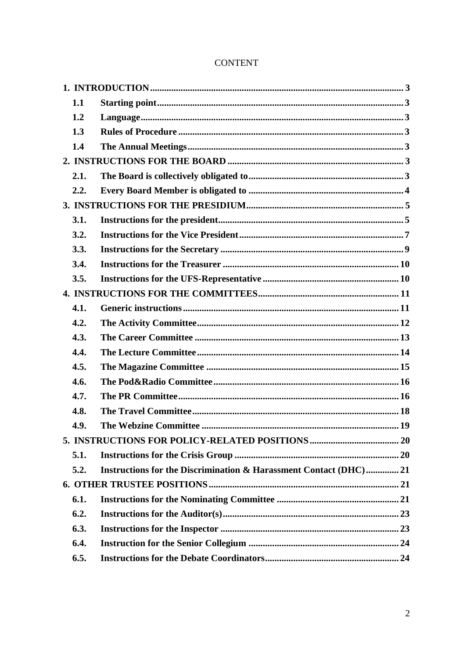|  | 1.1  |                                                                  |
|--|------|------------------------------------------------------------------|
|  | 1.2  |                                                                  |
|  | 1.3  |                                                                  |
|  | 1.4  |                                                                  |
|  |      |                                                                  |
|  | 2.1. |                                                                  |
|  | 2.2. |                                                                  |
|  |      |                                                                  |
|  | 3.1. |                                                                  |
|  | 3.2. |                                                                  |
|  | 3.3. |                                                                  |
|  | 3.4. |                                                                  |
|  | 3.5. |                                                                  |
|  |      |                                                                  |
|  | 4.1. |                                                                  |
|  | 4.2. |                                                                  |
|  | 4.3. |                                                                  |
|  | 4.4. |                                                                  |
|  | 4.5. |                                                                  |
|  | 4.6. |                                                                  |
|  | 4.7. |                                                                  |
|  | 4.8. |                                                                  |
|  | 4.9. |                                                                  |
|  |      |                                                                  |
|  | 5.1. |                                                                  |
|  | 5.2. | Instructions for the Discrimination & Harassment Contact (DHC)21 |
|  |      |                                                                  |
|  | 6.1. |                                                                  |
|  | 6.2. |                                                                  |
|  | 6.3. |                                                                  |
|  | 6.4. |                                                                  |
|  | 6.5. |                                                                  |

## **CONTENT**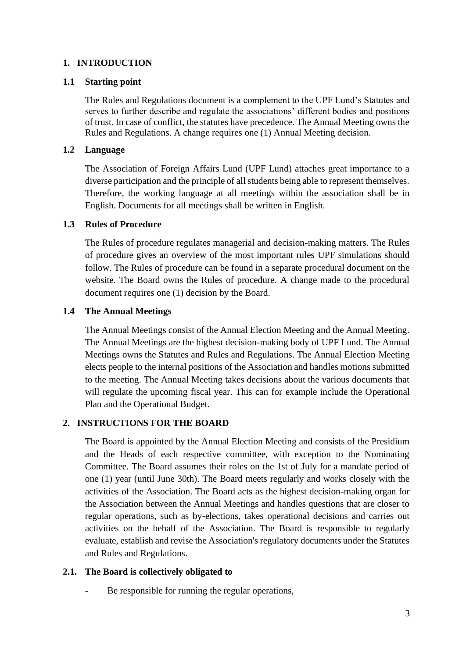## <span id="page-2-0"></span>**1. INTRODUCTION**

## <span id="page-2-1"></span>**1.1 Starting point**

The Rules and Regulations document is a complement to the UPF Lund's Statutes and serves to further describe and regulate the associations' different bodies and positions of trust. In case of conflict, the statutes have precedence. The Annual Meeting owns the Rules and Regulations. A change requires one (1) Annual Meeting decision.

### <span id="page-2-2"></span>**1.2 Language**

The Association of Foreign Affairs Lund (UPF Lund) attaches great importance to a diverse participation and the principle of all students being able to represent themselves. Therefore, the working language at all meetings within the association shall be in English. Documents for all meetings shall be written in English.

#### <span id="page-2-3"></span>**1.3 Rules of Procedure**

The Rules of procedure regulates managerial and decision-making matters. The Rules of procedure gives an overview of the most important rules UPF simulations should follow. The Rules of procedure can be found in a separate procedural document on the website. The Board owns the Rules of procedure. A change made to the procedural document requires one (1) decision by the Board.

## <span id="page-2-4"></span>**1.4 The Annual Meetings**

The Annual Meetings consist of the Annual Election Meeting and the Annual Meeting. The Annual Meetings are the highest decision-making body of UPF Lund. The Annual Meetings owns the Statutes and Rules and Regulations. The Annual Election Meeting elects people to the internal positions of the Association and handles motions submitted to the meeting. The Annual Meeting takes decisions about the various documents that will regulate the upcoming fiscal year. This can for example include the Operational Plan and the Operational Budget.

## <span id="page-2-5"></span>**2. INSTRUCTIONS FOR THE BOARD**

The Board is appointed by the Annual Election Meeting and consists of the Presidium and the Heads of each respective committee, with exception to the Nominating Committee. The Board assumes their roles on the 1st of July for a mandate period of one (1) year (until June 30th). The Board meets regularly and works closely with the activities of the Association. The Board acts as the highest decision-making organ for the Association between the Annual Meetings and handles questions that are closer to regular operations, such as by-elections, takes operational decisions and carries out activities on the behalf of the Association. The Board is responsible to regularly evaluate, establish and revise the Association's regulatory documents under the Statutes and Rules and Regulations.

## <span id="page-2-6"></span>**2.1. The Board is collectively obligated to**

Be responsible for running the regular operations,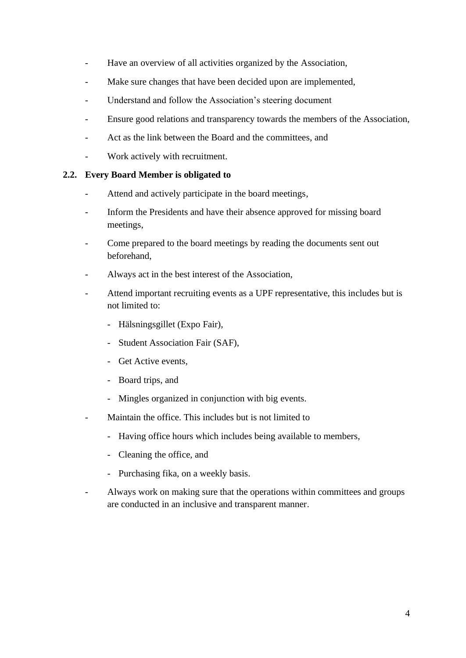- Have an overview of all activities organized by the Association,
- Make sure changes that have been decided upon are implemented,
- Understand and follow the Association's steering document
- Ensure good relations and transparency towards the members of the Association,
- Act as the link between the Board and the committees, and
- Work actively with recruitment.

#### <span id="page-3-0"></span>**2.2. Every Board Member is obligated to**

- Attend and actively participate in the board meetings,
- Inform the Presidents and have their absence approved for missing board meetings,
- Come prepared to the board meetings by reading the documents sent out beforehand,
- Always act in the best interest of the Association,
- Attend important recruiting events as a UPF representative, this includes but is not limited to:
	- Hälsningsgillet (Expo Fair),
	- Student Association Fair (SAF),
	- Get Active events,
	- Board trips, and
	- Mingles organized in conjunction with big events.
- Maintain the office. This includes but is not limited to
	- Having office hours which includes being available to members,
	- Cleaning the office, and
	- Purchasing fika, on a weekly basis.
- Always work on making sure that the operations within committees and groups are conducted in an inclusive and transparent manner.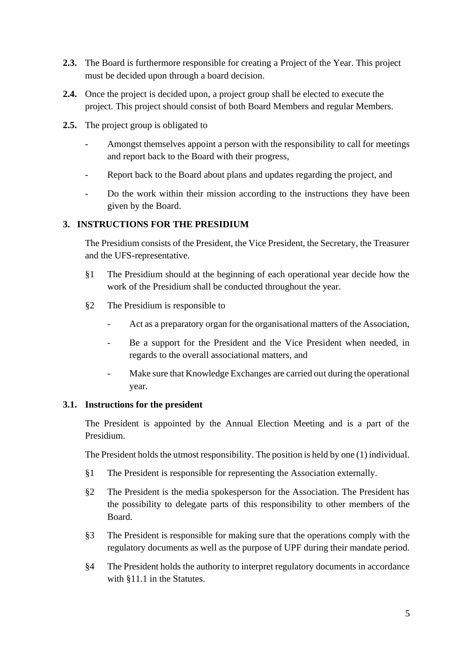- **2.3.** The Board is furthermore responsible for creating a Project of the Year. This project must be decided upon through a board decision.
- **2.4.** Once the project is decided upon, a project group shall be elected to execute the project. This project should consist of both Board Members and regular Members.
- **2.5.** The project group is obligated to
	- Amongst themselves appoint a person with the responsibility to call for meetings and report back to the Board with their progress,
	- Report back to the Board about plans and updates regarding the project, and
	- Do the work within their mission according to the instructions they have been given by the Board.

## <span id="page-4-0"></span>**3. INSTRUCTIONS FOR THE PRESIDIUM**

The Presidium consists of the President, the Vice President, the Secretary, the Treasurer and the UFS-representative.

- §1 The Presidium should at the beginning of each operational year decide how the work of the Presidium shall be conducted throughout the year.
- §2 The Presidium is responsible to
	- Act as a preparatory organ for the organisational matters of the Association,
	- Be a support for the President and the Vice President when needed, in regards to the overall associational matters, and
	- Make sure that Knowledge Exchanges are carried out during the operational year.

## <span id="page-4-1"></span>**3.1. Instructions for the president**

The President is appointed by the Annual Election Meeting and is a part of the Presidium.

The President holds the utmost responsibility. The position is held by one (1) individual.

- §1 The President is responsible for representing the Association externally.
- §2 The President is the media spokesperson for the Association. The President has the possibility to delegate parts of this responsibility to other members of the Board.
- §3 The President is responsible for making sure that the operations comply with the regulatory documents as well as the purpose of UPF during their mandate period.
- §4 The President holds the authority to interpret regulatory documents in accordance with §11.1 in the Statutes.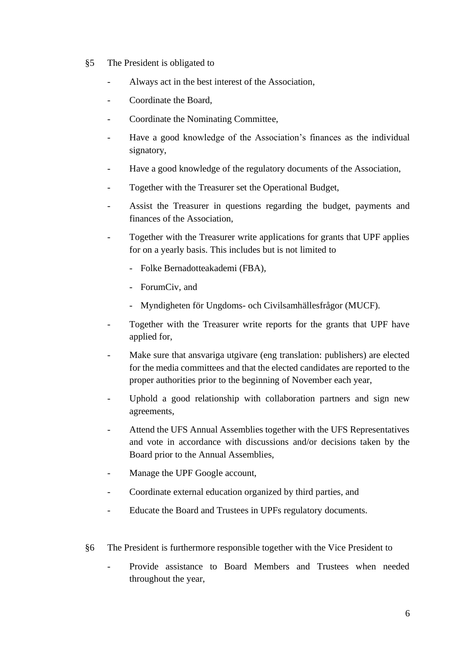- §5 The President is obligated to
	- Always act in the best interest of the Association,
	- Coordinate the Board,
	- Coordinate the Nominating Committee,
	- Have a good knowledge of the Association's finances as the individual signatory,
	- Have a good knowledge of the regulatory documents of the Association,
	- Together with the Treasurer set the Operational Budget,
	- Assist the Treasurer in questions regarding the budget, payments and finances of the Association,
	- Together with the Treasurer write applications for grants that UPF applies for on a yearly basis. This includes but is not limited to
		- Folke Bernadotteakademi (FBA),
		- ForumCiv, and
		- Myndigheten för Ungdoms- och Civilsamhällesfrågor (MUCF).
	- Together with the Treasurer write reports for the grants that UPF have applied for,
	- Make sure that ansvariga utgivare (eng translation: publishers) are elected for the media committees and that the elected candidates are reported to the proper authorities prior to the beginning of November each year,
	- Uphold a good relationship with collaboration partners and sign new agreements,
	- Attend the UFS Annual Assemblies together with the UFS Representatives and vote in accordance with discussions and/or decisions taken by the Board prior to the Annual Assemblies,
	- Manage the UPF Google account,
	- Coordinate external education organized by third parties, and
	- Educate the Board and Trustees in UPFs regulatory documents.
- §6 The President is furthermore responsible together with the Vice President to
	- Provide assistance to Board Members and Trustees when needed throughout the year,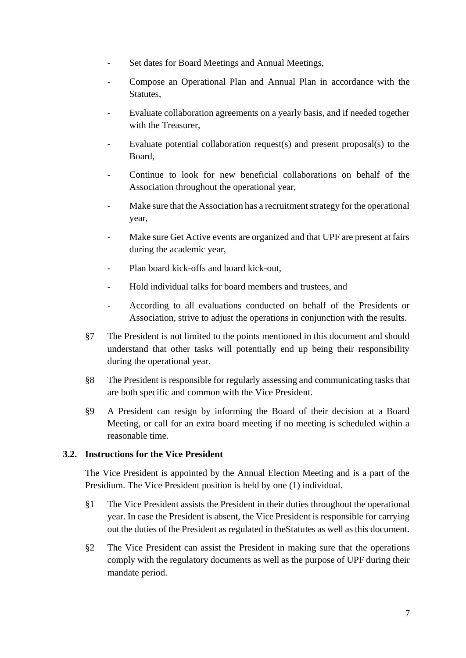- Set dates for Board Meetings and Annual Meetings,
- Compose an Operational Plan and Annual Plan in accordance with the Statutes,
- Evaluate collaboration agreements on a yearly basis, and if needed together with the Treasurer,
- Evaluate potential collaboration request(s) and present proposal(s) to the Board,
- Continue to look for new beneficial collaborations on behalf of the Association throughout the operational year,
- Make sure that the Association has a recruitment strategy for the operational year,
- Make sure Get Active events are organized and that UPF are present at fairs during the academic year,
- Plan board kick-offs and board kick-out,
- Hold individual talks for board members and trustees, and
- According to all evaluations conducted on behalf of the Presidents or Association, strive to adjust the operations in conjunction with the results.
- §7 The President is not limited to the points mentioned in this document and should understand that other tasks will potentially end up being their responsibility during the operational year.
- §8 The President is responsible for regularly assessing and communicating tasks that are both specific and common with the Vice President.
- §9 A President can resign by informing the Board of their decision at a Board Meeting, or call for an extra board meeting if no meeting is scheduled within a reasonable time.

#### <span id="page-6-0"></span>**3.2. Instructions for the Vice President**

The Vice President is appointed by the Annual Election Meeting and is a part of the Presidium. The Vice President position is held by one (1) individual.

- §1 The Vice President assists the President in their duties throughout the operational year. In case the President is absent, the Vice President is responsible for carrying out the duties of the President as regulated in theStatutes as well as this document.
- §2 The Vice President can assist the President in making sure that the operations comply with the regulatory documents as well as the purpose of UPF during their mandate period.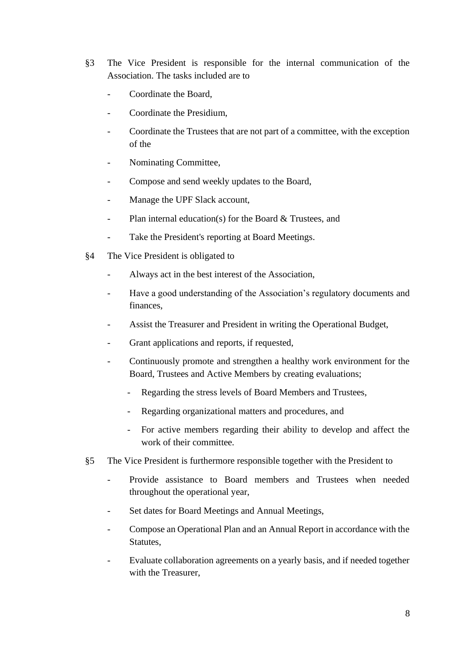- §3 The Vice President is responsible for the internal communication of the Association. The tasks included are to
	- Coordinate the Board,
	- Coordinate the Presidium.
	- Coordinate the Trustees that are not part of a committee, with the exception of the
	- Nominating Committee,
	- Compose and send weekly updates to the Board,
	- Manage the UPF Slack account,
	- Plan internal education(s) for the Board & Trustees, and
	- Take the President's reporting at Board Meetings.
- §4 The Vice President is obligated to
	- Always act in the best interest of the Association,
	- Have a good understanding of the Association's regulatory documents and finances,
	- Assist the Treasurer and President in writing the Operational Budget,
	- Grant applications and reports, if requested,
	- Continuously promote and strengthen a healthy work environment for the Board, Trustees and Active Members by creating evaluations;
		- Regarding the stress levels of Board Members and Trustees,
		- Regarding organizational matters and procedures, and
		- For active members regarding their ability to develop and affect the work of their committee.
- §5 The Vice President is furthermore responsible together with the President to
	- Provide assistance to Board members and Trustees when needed throughout the operational year,
	- Set dates for Board Meetings and Annual Meetings,
	- Compose an Operational Plan and an Annual Report in accordance with the Statutes,
	- Evaluate collaboration agreements on a yearly basis, and if needed together with the Treasurer,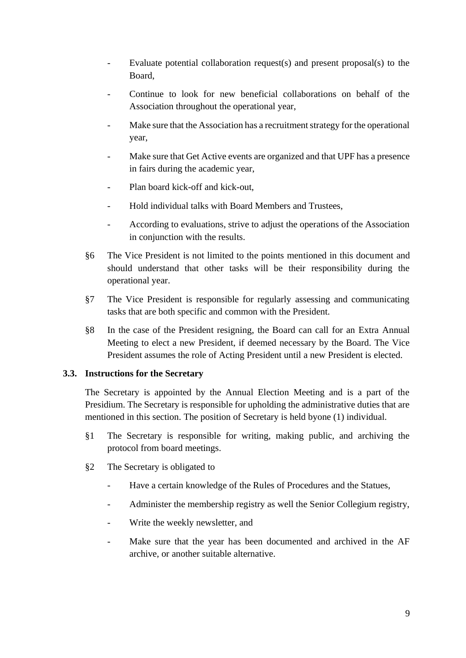- Evaluate potential collaboration request(s) and present proposal(s) to the Board,
- Continue to look for new beneficial collaborations on behalf of the Association throughout the operational year,
- Make sure that the Association has a recruitment strategy for the operational year,
- Make sure that Get Active events are organized and that UPF has a presence in fairs during the academic year,
- Plan board kick-off and kick-out,
- Hold individual talks with Board Members and Trustees,
- According to evaluations, strive to adjust the operations of the Association in conjunction with the results.
- §6 The Vice President is not limited to the points mentioned in this document and should understand that other tasks will be their responsibility during the operational year.
- §7 The Vice President is responsible for regularly assessing and communicating tasks that are both specific and common with the President.
- §8 In the case of the President resigning, the Board can call for an Extra Annual Meeting to elect a new President, if deemed necessary by the Board. The Vice President assumes the role of Acting President until a new President is elected.

#### <span id="page-8-0"></span>**3.3. Instructions for the Secretary**

The Secretary is appointed by the Annual Election Meeting and is a part of the Presidium. The Secretary is responsible for upholding the administrative duties that are mentioned in this section. The position of Secretary is held byone (1) individual.

- §1 The Secretary is responsible for writing, making public, and archiving the protocol from board meetings.
- §2 The Secretary is obligated to
	- Have a certain knowledge of the Rules of Procedures and the Statues,
	- Administer the membership registry as well the Senior Collegium registry,
	- Write the weekly newsletter, and
	- Make sure that the year has been documented and archived in the AF archive, or another suitable alternative.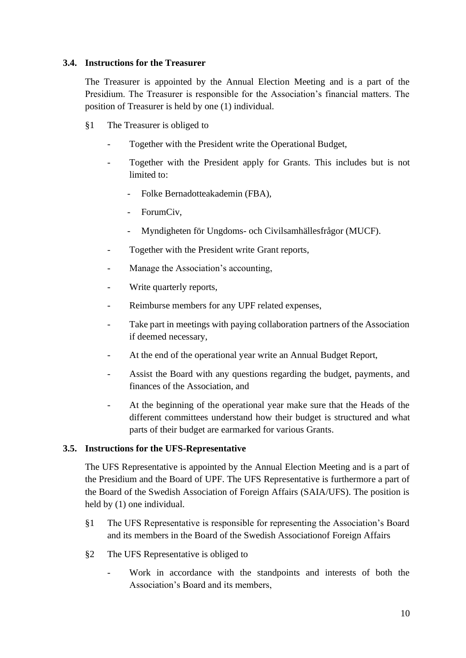### <span id="page-9-0"></span>**3.4. Instructions for the Treasurer**

The Treasurer is appointed by the Annual Election Meeting and is a part of the Presidium. The Treasurer is responsible for the Association's financial matters. The position of Treasurer is held by one (1) individual.

- §1 The Treasurer is obliged to
	- Together with the President write the Operational Budget,
	- Together with the President apply for Grants. This includes but is not limited to:
		- Folke Bernadotteakademin (FBA),
		- ForumCiv,
		- Myndigheten för Ungdoms- och Civilsamhällesfrågor (MUCF).
	- Together with the President write Grant reports,
	- Manage the Association's accounting,
	- Write quarterly reports,
	- Reimburse members for any UPF related expenses,
	- Take part in meetings with paying collaboration partners of the Association if deemed necessary,
	- At the end of the operational year write an Annual Budget Report,
	- Assist the Board with any questions regarding the budget, payments, and finances of the Association, and
	- At the beginning of the operational year make sure that the Heads of the different committees understand how their budget is structured and what parts of their budget are earmarked for various Grants.

## <span id="page-9-1"></span>**3.5. Instructions for the UFS-Representative**

The UFS Representative is appointed by the Annual Election Meeting and is a part of the Presidium and the Board of UPF. The UFS Representative is furthermore a part of the Board of the Swedish Association of Foreign Affairs (SAIA/UFS). The position is held by (1) one individual.

- §1 The UFS Representative is responsible for representing the Association's Board and its members in the Board of the Swedish Associationof Foreign Affairs
- §2 The UFS Representative is obliged to
	- Work in accordance with the standpoints and interests of both the Association's Board and its members,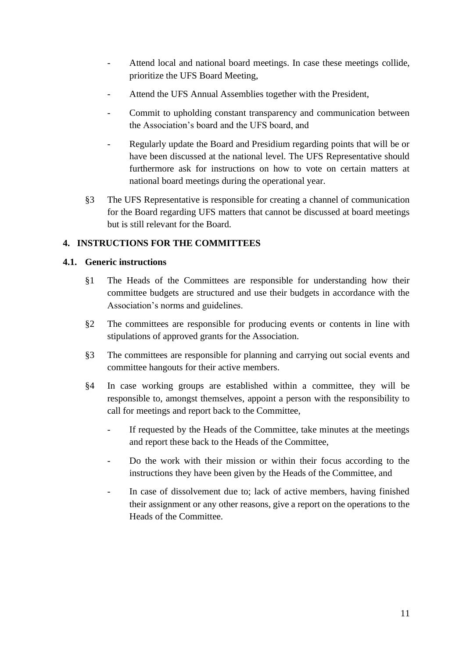- Attend local and national board meetings. In case these meetings collide, prioritize the UFS Board Meeting,
- Attend the UFS Annual Assemblies together with the President,
- Commit to upholding constant transparency and communication between the Association's board and the UFS board, and
- Regularly update the Board and Presidium regarding points that will be or have been discussed at the national level. The UFS Representative should furthermore ask for instructions on how to vote on certain matters at national board meetings during the operational year.
- §3 The UFS Representative is responsible for creating a channel of communication for the Board regarding UFS matters that cannot be discussed at board meetings but is still relevant for the Board.

## <span id="page-10-0"></span>**4. INSTRUCTIONS FOR THE COMMITTEES**

## <span id="page-10-1"></span>**4.1. Generic instructions**

- §1 The Heads of the Committees are responsible for understanding how their committee budgets are structured and use their budgets in accordance with the Association's norms and guidelines.
- §2 The committees are responsible for producing events or contents in line with stipulations of approved grants for the Association.
- §3 The committees are responsible for planning and carrying out social events and committee hangouts for their active members.
- §4 In case working groups are established within a committee, they will be responsible to, amongst themselves, appoint a person with the responsibility to call for meetings and report back to the Committee,
	- If requested by the Heads of the Committee, take minutes at the meetings and report these back to the Heads of the Committee,
	- Do the work with their mission or within their focus according to the instructions they have been given by the Heads of the Committee, and
	- In case of dissolvement due to: lack of active members, having finished their assignment or any other reasons, give a report on the operations to the Heads of the Committee.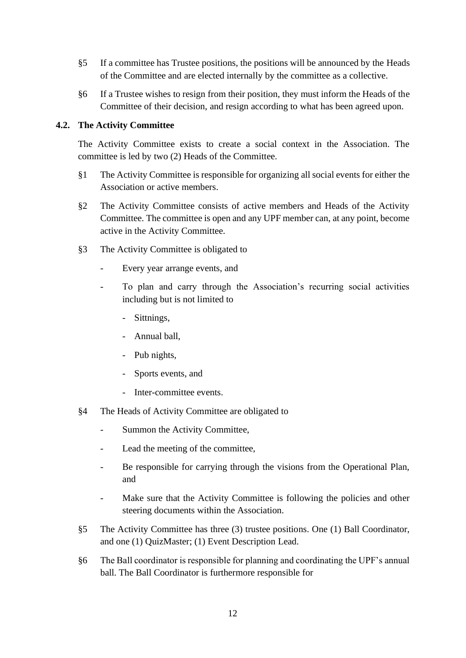- §5 If a committee has Trustee positions, the positions will be announced by the Heads of the Committee and are elected internally by the committee as a collective.
- §6 If a Trustee wishes to resign from their position, they must inform the Heads of the Committee of their decision, and resign according to what has been agreed upon.

#### <span id="page-11-0"></span>**4.2. The Activity Committee**

The Activity Committee exists to create a social context in the Association. The committee is led by two (2) Heads of the Committee.

- §1 The Activity Committee is responsible for organizing all social events for either the Association or active members.
- §2 The Activity Committee consists of active members and Heads of the Activity Committee. The committee is open and any UPF member can, at any point, become active in the Activity Committee.
- §3 The Activity Committee is obligated to
	- Every year arrange events, and
	- To plan and carry through the Association's recurring social activities including but is not limited to
		- Sittnings,
		- Annual ball,
		- Pub nights,
		- Sports events, and
		- Inter-committee events.
- §4 The Heads of Activity Committee are obligated to
	- Summon the Activity Committee,
	- Lead the meeting of the committee,
	- Be responsible for carrying through the visions from the Operational Plan, and
	- Make sure that the Activity Committee is following the policies and other steering documents within the Association.
- §5 The Activity Committee has three (3) trustee positions. One (1) Ball Coordinator, and one (1) QuizMaster; (1) Event Description Lead.
- §6 The Ball coordinator is responsible for planning and coordinating the UPF's annual ball. The Ball Coordinator is furthermore responsible for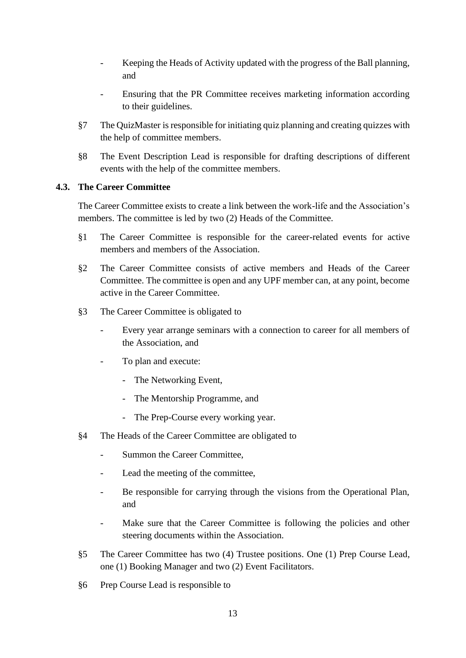- Keeping the Heads of Activity updated with the progress of the Ball planning, and
- Ensuring that the PR Committee receives marketing information according to their guidelines.
- §7 The QuizMaster is responsible for initiating quiz planning and creating quizzes with the help of committee members.
- §8 The Event Description Lead is responsible for drafting descriptions of different events with the help of the committee members.

#### <span id="page-12-0"></span>**4.3. The Career Committee**

The Career Committee exists to create a link between the work-life and the Association's members. The committee is led by two (2) Heads of the Committee.

- §1 The Career Committee is responsible for the career-related events for active members and members of the Association.
- §2 The Career Committee consists of active members and Heads of the Career Committee. The committee is open and any UPF member can, at any point, become active in the Career Committee.
- §3 The Career Committee is obligated to
	- Every year arrange seminars with a connection to career for all members of the Association, and
	- To plan and execute:
		- The Networking Event,
		- The Mentorship Programme, and
		- The Prep-Course every working year.
- §4 The Heads of the Career Committee are obligated to
	- Summon the Career Committee.
	- Lead the meeting of the committee,
	- Be responsible for carrying through the visions from the Operational Plan, and
	- Make sure that the Career Committee is following the policies and other steering documents within the Association.
- §5 The Career Committee has two (4) Trustee positions. One (1) Prep Course Lead, one (1) Booking Manager and two (2) Event Facilitators.
- §6 Prep Course Lead is responsible to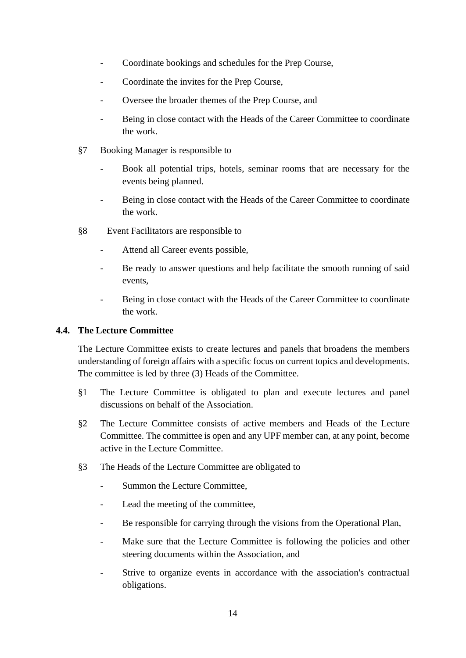- Coordinate bookings and schedules for the Prep Course,
- Coordinate the invites for the Prep Course,
- Oversee the broader themes of the Prep Course, and
- Being in close contact with the Heads of the Career Committee to coordinate the work.
- §7 Booking Manager is responsible to
	- Book all potential trips, hotels, seminar rooms that are necessary for the events being planned.
	- Being in close contact with the Heads of the Career Committee to coordinate the work.
- §8 Event Facilitators are responsible to
	- Attend all Career events possible,
	- Be ready to answer questions and help facilitate the smooth running of said events,
	- Being in close contact with the Heads of the Career Committee to coordinate the work.

#### <span id="page-13-0"></span>**4.4. The Lecture Committee**

The Lecture Committee exists to create lectures and panels that broadens the members understanding of foreign affairs with a specific focus on current topics and developments. The committee is led by three (3) Heads of the Committee.

- §1 The Lecture Committee is obligated to plan and execute lectures and panel discussions on behalf of the Association.
- §2 The Lecture Committee consists of active members and Heads of the Lecture Committee. The committee is open and any UPF member can, at any point, become active in the Lecture Committee.
- §3 The Heads of the Lecture Committee are obligated to
	- Summon the Lecture Committee,
	- Lead the meeting of the committee,
	- Be responsible for carrying through the visions from the Operational Plan,
	- Make sure that the Lecture Committee is following the policies and other steering documents within the Association, and
	- Strive to organize events in accordance with the association's contractual obligations.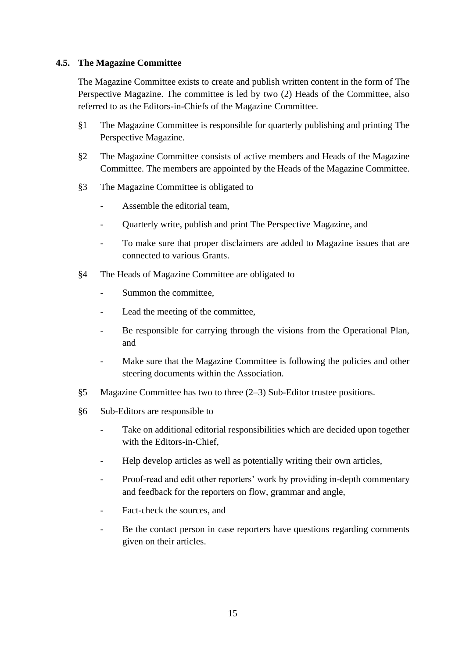#### <span id="page-14-0"></span>**4.5. The Magazine Committee**

The Magazine Committee exists to create and publish written content in the form of The Perspective Magazine. The committee is led by two (2) Heads of the Committee, also referred to as the Editors-in-Chiefs of the Magazine Committee.

- §1 The Magazine Committee is responsible for quarterly publishing and printing The Perspective Magazine.
- §2 The Magazine Committee consists of active members and Heads of the Magazine Committee. The members are appointed by the Heads of the Magazine Committee.
- §3 The Magazine Committee is obligated to
	- Assemble the editorial team.
	- Quarterly write, publish and print The Perspective Magazine, and
	- To make sure that proper disclaimers are added to Magazine issues that are connected to various Grants.
- §4 The Heads of Magazine Committee are obligated to
	- Summon the committee.
	- Lead the meeting of the committee,
	- Be responsible for carrying through the visions from the Operational Plan, and
	- Make sure that the Magazine Committee is following the policies and other steering documents within the Association.
- §5 Magazine Committee has two to three (2–3) Sub-Editor trustee positions.
- §6 Sub-Editors are responsible to
	- Take on additional editorial responsibilities which are decided upon together with the Editors-in-Chief,
	- Help develop articles as well as potentially writing their own articles,
	- Proof-read and edit other reporters' work by providing in-depth commentary and feedback for the reporters on flow, grammar and angle,
	- Fact-check the sources, and
	- Be the contact person in case reporters have questions regarding comments given on their articles.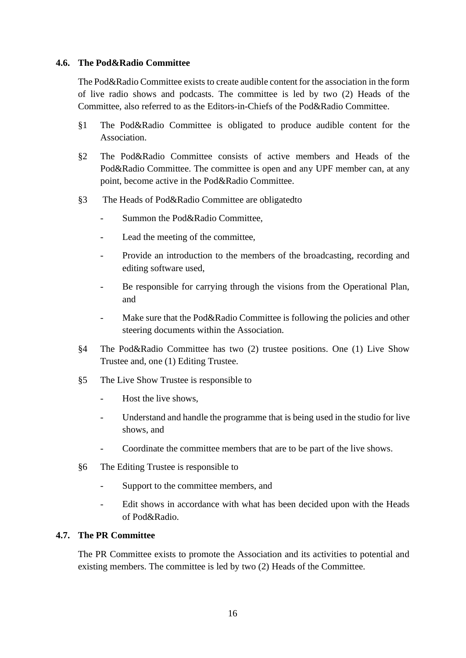#### <span id="page-15-0"></span>**4.6. The Pod&Radio Committee**

The Pod&Radio Committee exists to create audible content for the association in the form of live radio shows and podcasts. The committee is led by two (2) Heads of the Committee, also referred to as the Editors-in-Chiefs of the Pod&Radio Committee.

- §1 The Pod&Radio Committee is obligated to produce audible content for the Association.
- §2 The Pod&Radio Committee consists of active members and Heads of the Pod&Radio Committee. The committee is open and any UPF member can, at any point, become active in the Pod&Radio Committee.
- §3 The Heads of Pod&Radio Committee are obligatedto
	- Summon the Pod&Radio Committee,
	- Lead the meeting of the committee,
	- Provide an introduction to the members of the broadcasting, recording and editing software used,
	- Be responsible for carrying through the visions from the Operational Plan, and
	- Make sure that the Pod&Radio Committee is following the policies and other steering documents within the Association.
- §4 The Pod&Radio Committee has two (2) trustee positions. One (1) Live Show Trustee and, one (1) Editing Trustee.
- §5 The Live Show Trustee is responsible to
	- Host the live shows,
	- Understand and handle the programme that is being used in the studio for live shows, and
	- Coordinate the committee members that are to be part of the live shows.
- §6 The Editing Trustee is responsible to
	- Support to the committee members, and
	- Edit shows in accordance with what has been decided upon with the Heads of Pod&Radio.

#### <span id="page-15-1"></span>**4.7. The PR Committee**

The PR Committee exists to promote the Association and its activities to potential and existing members. The committee is led by two (2) Heads of the Committee.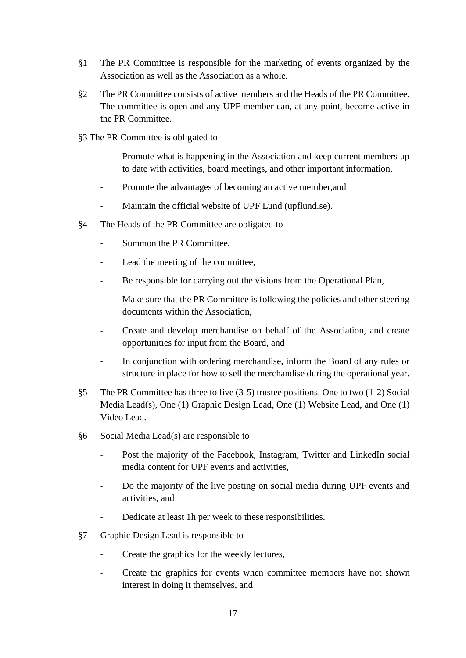- §1 The PR Committee is responsible for the marketing of events organized by the Association as well as the Association as a whole.
- §2 The PR Committee consists of active members and the Heads of the PR Committee. The committee is open and any UPF member can, at any point, become active in the PR Committee.
- §3 The PR Committee is obligated to
	- Promote what is happening in the Association and keep current members up to date with activities, board meetings, and other important information,
	- Promote the advantages of becoming an active member, and
	- Maintain the official website of UPF Lund (upflund.se).
- §4 The Heads of the PR Committee are obligated to
	- Summon the PR Committee,
	- Lead the meeting of the committee,
	- Be responsible for carrying out the visions from the Operational Plan,
	- Make sure that the PR Committee is following the policies and other steering documents within the Association,
	- Create and develop merchandise on behalf of the Association, and create opportunities for input from the Board, and
	- In conjunction with ordering merchandise, inform the Board of any rules or structure in place for how to sell the merchandise during the operational year.
- §5 The PR Committee has three to five (3-5) trustee positions. One to two (1-2) Social Media Lead(s), One (1) Graphic Design Lead, One (1) Website Lead, and One (1) Video Lead.
- §6 Social Media Lead(s) are responsible to
	- Post the majority of the Facebook, Instagram, Twitter and LinkedIn social media content for UPF events and activities,
	- Do the majority of the live posting on social media during UPF events and activities, and
	- Dedicate at least 1h per week to these responsibilities.
- §7 Graphic Design Lead is responsible to
	- Create the graphics for the weekly lectures,
	- Create the graphics for events when committee members have not shown interest in doing it themselves, and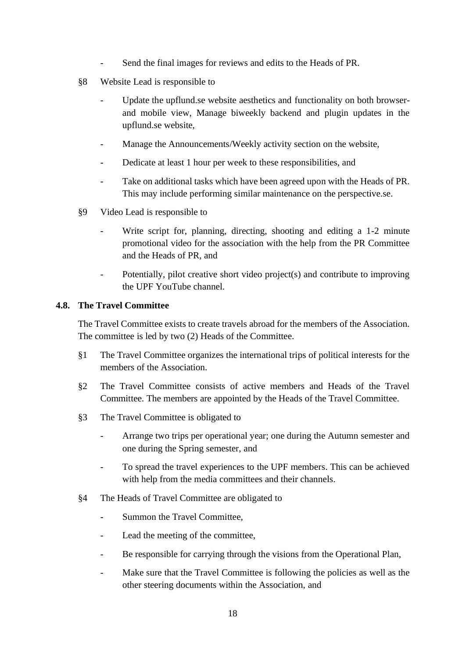- Send the final images for reviews and edits to the Heads of PR.
- §8 Website Lead is responsible to
	- Update the upflund.se website aesthetics and functionality on both browserand mobile view, Manage biweekly backend and plugin updates in the upflund.se website,
	- Manage the Announcements/Weekly activity section on the website,
	- Dedicate at least 1 hour per week to these responsibilities, and
	- Take on additional tasks which have been agreed upon with the Heads of PR. This may include performing similar maintenance on the perspective.se.
- §9 Video Lead is responsible to
	- Write script for, planning, directing, shooting and editing a 1-2 minute promotional video for the association with the help from the PR Committee and the Heads of PR, and
	- Potentially, pilot creative short video project(s) and contribute to improving the UPF YouTube channel.

#### <span id="page-17-0"></span>**4.8. The Travel Committee**

The Travel Committee exists to create travels abroad for the members of the Association. The committee is led by two (2) Heads of the Committee.

- §1 The Travel Committee organizes the international trips of political interests for the members of the Association.
- §2 The Travel Committee consists of active members and Heads of the Travel Committee. The members are appointed by the Heads of the Travel Committee.
- §3 The Travel Committee is obligated to
	- Arrange two trips per operational year; one during the Autumn semester and one during the Spring semester, and
	- To spread the travel experiences to the UPF members. This can be achieved with help from the media committees and their channels.
- §4 The Heads of Travel Committee are obligated to
	- Summon the Travel Committee,
	- Lead the meeting of the committee,
	- Be responsible for carrying through the visions from the Operational Plan,
	- Make sure that the Travel Committee is following the policies as well as the other steering documents within the Association, and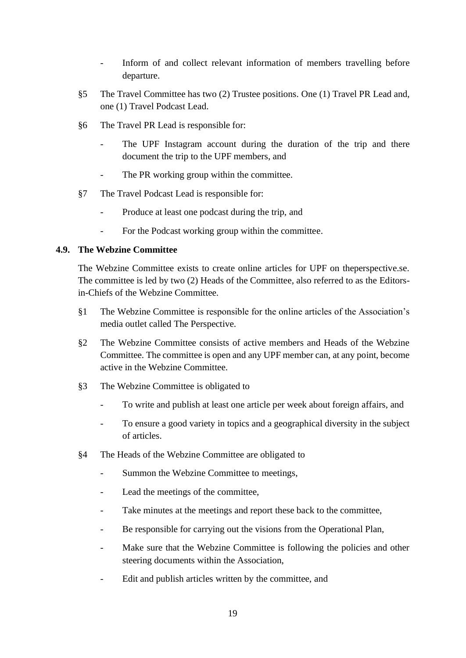- Inform of and collect relevant information of members travelling before departure.
- §5 The Travel Committee has two (2) Trustee positions. One (1) Travel PR Lead and, one (1) Travel Podcast Lead.
- §6 The Travel PR Lead is responsible for:
	- The UPF Instagram account during the duration of the trip and there document the trip to the UPF members, and
	- The PR working group within the committee.
- §7 The Travel Podcast Lead is responsible for:
	- Produce at least one podcast during the trip, and
	- For the Podcast working group within the committee.

#### <span id="page-18-0"></span>**4.9. The Webzine Committee**

The Webzine Committee exists to create online articles for UPF on theperspective.se. The committee is led by two (2) Heads of the Committee, also referred to as the Editorsin-Chiefs of the Webzine Committee.

- §1 The Webzine Committee is responsible for the online articles of the Association's media outlet called The Perspective.
- §2 The Webzine Committee consists of active members and Heads of the Webzine Committee. The committee is open and any UPF member can, at any point, become active in the Webzine Committee.
- §3 The Webzine Committee is obligated to
	- To write and publish at least one article per week about foreign affairs, and
	- To ensure a good variety in topics and a geographical diversity in the subject of articles.
- §4 The Heads of the Webzine Committee are obligated to
	- Summon the Webzine Committee to meetings,
	- Lead the meetings of the committee,
	- Take minutes at the meetings and report these back to the committee,
	- Be responsible for carrying out the visions from the Operational Plan,
	- Make sure that the Webzine Committee is following the policies and other steering documents within the Association,
	- Edit and publish articles written by the committee, and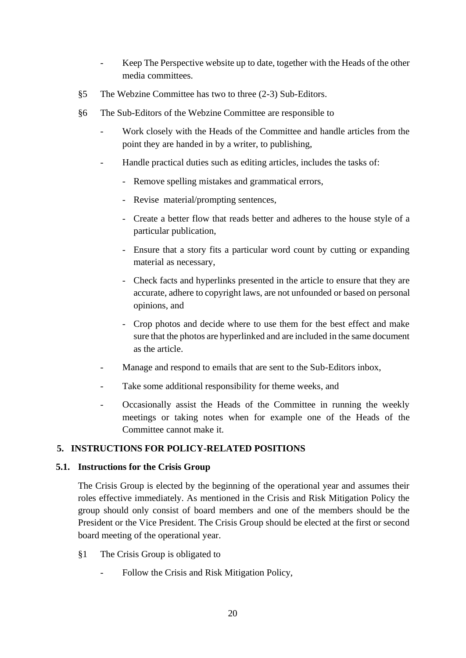- Keep The Perspective website up to date, together with the Heads of the other media committees.
- §5 The Webzine Committee has two to three (2-3) Sub-Editors.
- §6 The Sub-Editors of the Webzine Committee are responsible to
	- Work closely with the Heads of the Committee and handle articles from the point they are handed in by a writer, to publishing,
	- Handle practical duties such as editing articles, includes the tasks of:
		- Remove spelling mistakes and grammatical errors,
		- Revise material/prompting sentences,
		- Create a better flow that reads better and adheres to the house style of a particular publication,
		- Ensure that a story fits a particular word count by cutting or expanding material as necessary,
		- Check facts and hyperlinks presented in the article to ensure that they are accurate, adhere to copyright laws, are not unfounded or based on personal opinions, and
		- Crop photos and decide where to use them for the best effect and make sure that the photos are hyperlinked and are included in the same document as the article.
	- Manage and respond to emails that are sent to the Sub-Editors inbox,
	- Take some additional responsibility for theme weeks, and
	- Occasionally assist the Heads of the Committee in running the weekly meetings or taking notes when for example one of the Heads of the Committee cannot make it.

## <span id="page-19-0"></span>**5. INSTRUCTIONS FOR POLICY-RELATED POSITIONS**

#### <span id="page-19-1"></span>**5.1. Instructions for the Crisis Group**

The Crisis Group is elected by the beginning of the operational year and assumes their roles effective immediately. As mentioned in the Crisis and Risk Mitigation Policy the group should only consist of board members and one of the members should be the President or the Vice President. The Crisis Group should be elected at the first or second board meeting of the operational year.

- §1 The Crisis Group is obligated to
	- Follow the Crisis and Risk Mitigation Policy,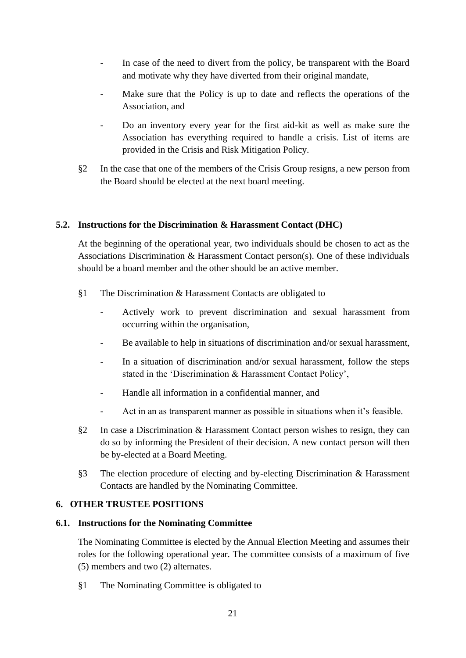- In case of the need to divert from the policy, be transparent with the Board and motivate why they have diverted from their original mandate,
- Make sure that the Policy is up to date and reflects the operations of the Association, and
- Do an inventory every year for the first aid-kit as well as make sure the Association has everything required to handle a crisis. List of items are provided in the Crisis and Risk Mitigation Policy.
- §2 In the case that one of the members of the Crisis Group resigns, a new person from the Board should be elected at the next board meeting.

#### <span id="page-20-0"></span>**5.2. Instructions for the Discrimination & Harassment Contact (DHC)**

At the beginning of the operational year, two individuals should be chosen to act as the Associations Discrimination & Harassment Contact person(s). One of these individuals should be a board member and the other should be an active member.

- §1 The Discrimination & Harassment Contacts are obligated to
	- Actively work to prevent discrimination and sexual harassment from occurring within the organisation,
	- Be available to help in situations of discrimination and/or sexual harassment,
	- In a situation of discrimination and/or sexual harassment, follow the steps stated in the 'Discrimination & Harassment Contact Policy',
	- Handle all information in a confidential manner, and
	- Act in an as transparent manner as possible in situations when it's feasible.
- §2 In case a Discrimination & Harassment Contact person wishes to resign, they can do so by informing the President of their decision. A new contact person will then be by-elected at a Board Meeting.
- §3 The election procedure of electing and by-electing Discrimination & Harassment Contacts are handled by the Nominating Committee.

#### <span id="page-20-1"></span>**6. OTHER TRUSTEE POSITIONS**

#### <span id="page-20-2"></span>**6.1. Instructions for the Nominating Committee**

The Nominating Committee is elected by the Annual Election Meeting and assumes their roles for the following operational year. The committee consists of a maximum of five (5) members and two (2) alternates.

§1 The Nominating Committee is obligated to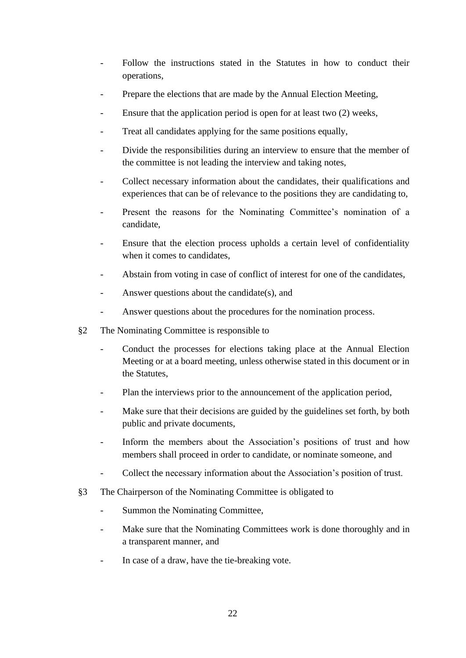- Follow the instructions stated in the Statutes in how to conduct their operations,
- Prepare the elections that are made by the Annual Election Meeting,
- Ensure that the application period is open for at least two  $(2)$  weeks,
- Treat all candidates applying for the same positions equally,
- Divide the responsibilities during an interview to ensure that the member of the committee is not leading the interview and taking notes,
- Collect necessary information about the candidates, their qualifications and experiences that can be of relevance to the positions they are candidating to,
- Present the reasons for the Nominating Committee's nomination of a candidate,
- Ensure that the election process upholds a certain level of confidentiality when it comes to candidates,
- Abstain from voting in case of conflict of interest for one of the candidates,
- Answer questions about the candidate(s), and
- Answer questions about the procedures for the nomination process.
- §2 The Nominating Committee is responsible to
	- Conduct the processes for elections taking place at the Annual Election Meeting or at a board meeting, unless otherwise stated in this document or in the Statutes,
	- Plan the interviews prior to the announcement of the application period,
	- Make sure that their decisions are guided by the guidelines set forth, by both public and private documents,
	- Inform the members about the Association's positions of trust and how members shall proceed in order to candidate, or nominate someone, and
	- Collect the necessary information about the Association's position of trust.
- §3 The Chairperson of the Nominating Committee is obligated to
	- Summon the Nominating Committee,
	- Make sure that the Nominating Committees work is done thoroughly and in a transparent manner, and
	- In case of a draw, have the tie-breaking vote.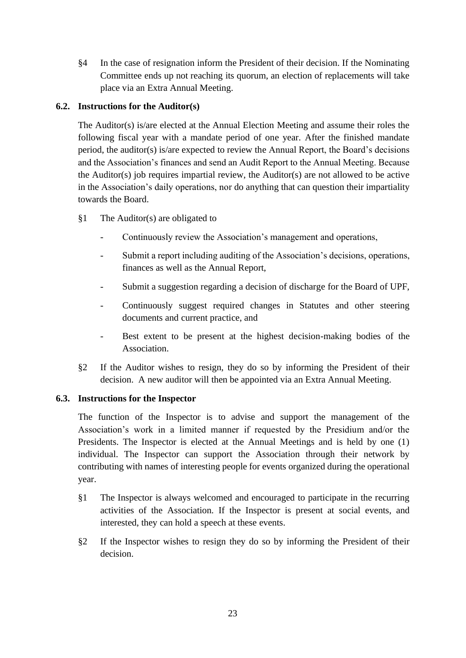§4 In the case of resignation inform the President of their decision. If the Nominating Committee ends up not reaching its quorum, an election of replacements will take place via an Extra Annual Meeting.

## <span id="page-22-0"></span>**6.2. Instructions for the Auditor(s)**

The Auditor(s) is/are elected at the Annual Election Meeting and assume their roles the following fiscal year with a mandate period of one year. After the finished mandate period, the auditor(s) is/are expected to review the Annual Report, the Board's decisions and the Association's finances and send an Audit Report to the Annual Meeting. Because the Auditor(s) job requires impartial review, the Auditor(s) are not allowed to be active in the Association's daily operations, nor do anything that can question their impartiality towards the Board.

- §1 The Auditor(s) are obligated to
	- Continuously review the Association's management and operations,
	- Submit a report including auditing of the Association's decisions, operations, finances as well as the Annual Report,
	- Submit a suggestion regarding a decision of discharge for the Board of UPF,
	- Continuously suggest required changes in Statutes and other steering documents and current practice, and
	- Best extent to be present at the highest decision-making bodies of the Association.
- §2 If the Auditor wishes to resign, they do so by informing the President of their decision. A new auditor will then be appointed via an Extra Annual Meeting.

## <span id="page-22-1"></span>**6.3. Instructions for the Inspector**

The function of the Inspector is to advise and support the management of the Association's work in a limited manner if requested by the Presidium and/or the Presidents. The Inspector is elected at the Annual Meetings and is held by one (1) individual. The Inspector can support the Association through their network by contributing with names of interesting people for events organized during the operational year.

- §1 The Inspector is always welcomed and encouraged to participate in the recurring activities of the Association. If the Inspector is present at social events, and interested, they can hold a speech at these events.
- §2 If the Inspector wishes to resign they do so by informing the President of their decision.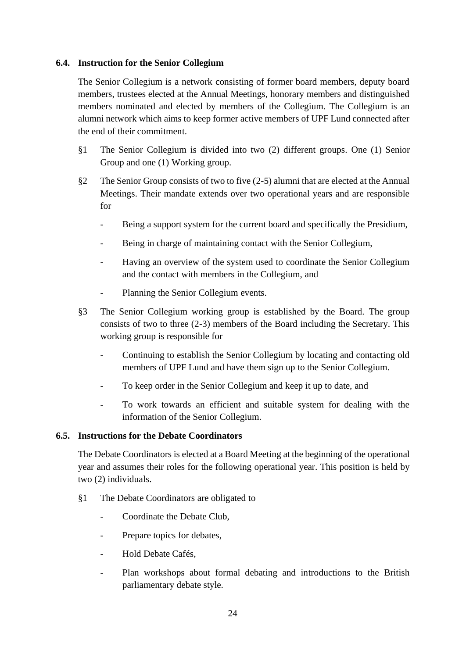#### <span id="page-23-0"></span>**6.4. Instruction for the Senior Collegium**

The Senior Collegium is a network consisting of former board members, deputy board members, trustees elected at the Annual Meetings, honorary members and distinguished members nominated and elected by members of the Collegium. The Collegium is an alumni network which aims to keep former active members of UPF Lund connected after the end of their commitment.

- §1 The Senior Collegium is divided into two (2) different groups. One (1) Senior Group and one (1) Working group.
- §2 The Senior Group consists of two to five (2-5) alumni that are elected at the Annual Meetings. Their mandate extends over two operational years and are responsible for
	- Being a support system for the current board and specifically the Presidium,
	- Being in charge of maintaining contact with the Senior Collegium,
	- Having an overview of the system used to coordinate the Senior Collegium and the contact with members in the Collegium, and
	- Planning the Senior Collegium events.
- §3 The Senior Collegium working group is established by the Board. The group consists of two to three (2-3) members of the Board including the Secretary. This working group is responsible for
	- Continuing to establish the Senior Collegium by locating and contacting old members of UPF Lund and have them sign up to the Senior Collegium.
	- To keep order in the Senior Collegium and keep it up to date, and
	- To work towards an efficient and suitable system for dealing with the information of the Senior Collegium.

## <span id="page-23-1"></span>**6.5. Instructions for the Debate Coordinators**

The Debate Coordinators is elected at a Board Meeting at the beginning of the operational year and assumes their roles for the following operational year. This position is held by two (2) individuals.

- §1 The Debate Coordinators are obligated to
	- Coordinate the Debate Club,
	- Prepare topics for debates,
	- Hold Debate Cafés,
	- Plan workshops about formal debating and introductions to the British parliamentary debate style.